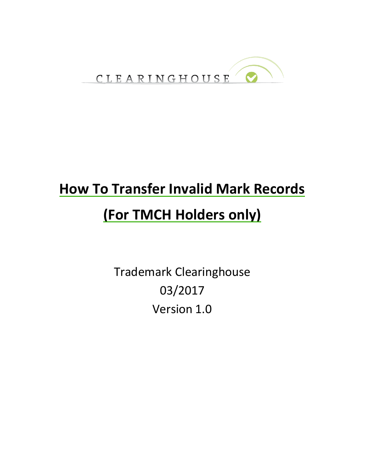

# **How To Transfer Invalid Mark Records (For TMCH Holders only)**

Trademark Clearinghouse 03/2017 Version 1.0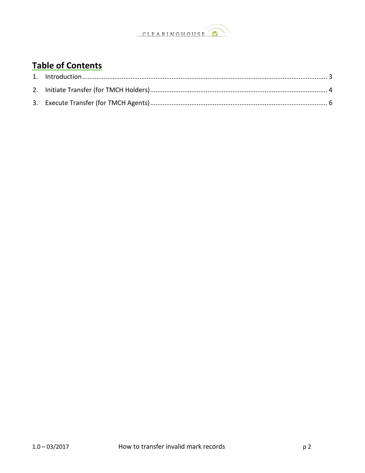

#### **Table of Contents**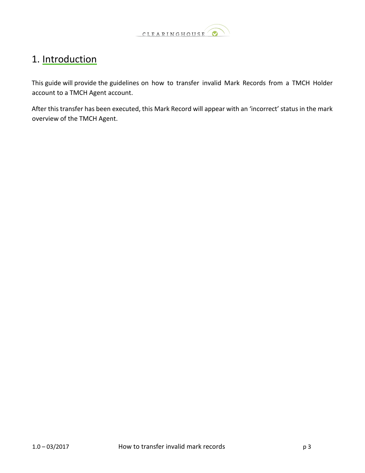

#### <span id="page-2-0"></span>1. Introduction

This guide will provide the guidelines on how to transfer invalid Mark Records from a TMCH Holder account to a TMCH Agent account.

After this transfer has been executed, this Mark Record will appear with an 'incorrect' status in the mark overview of the TMCH Agent.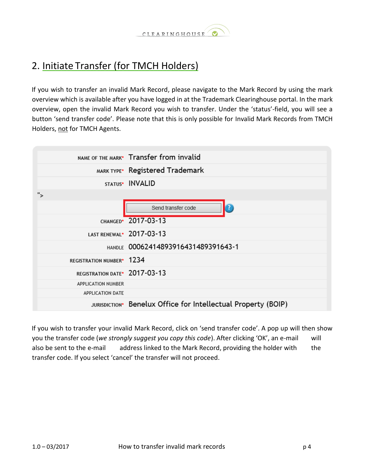

### <span id="page-3-0"></span>2. Initiate Transfer (for TMCH Holders)

If you wish to transfer an invalid Mark Record, please navigate to the Mark Record by using the mark overview which is available after you have logged in at the Trademark Clearinghouse portal. In the mark overview, open the invalid Mark Record you wish to transfer. Under the 'status'-field, you will see a button 'send transfer code'. Please note that this is only possible for Invalid Mark Records from TMCH Holders, not for TMCH Agents.

|                                       | NAME OF THE MARK* Transfer from invalid                       |
|---------------------------------------|---------------------------------------------------------------|
|                                       | MARK TYPE* Registered Trademark                               |
|                                       | STATUS* INVALID                                               |
| ">                                    |                                                               |
|                                       | $\overline{?}$<br>Send transfer code                          |
|                                       | CHANGED* 2017-03-13                                           |
|                                       | LAST RENEWAL* 2017-03-13                                      |
|                                       | HANDLE 00062414893916431489391643-1                           |
| REGISTRATION NUMBER <sup>*</sup> 1234 |                                                               |
| REGISTRATION DATE* 2017-03-13         |                                                               |
| APPLICATION NUMBER                    |                                                               |
| <b>APPLICATION DATE</b>               |                                                               |
|                                       | JURISDICTION* Benelux Office for Intellectual Property (BOIP) |

If you wish to transfer your invalid Mark Record, click on 'send transfer code'. A pop up will then show you the transfer code (*we strongly suggest you copy this code*). After clicking 'OK', an e-mail will also be sent to the e-mail address linked to the Mark Record, providing the holder with the transfer code. If you select 'cancel' the transfer will not proceed.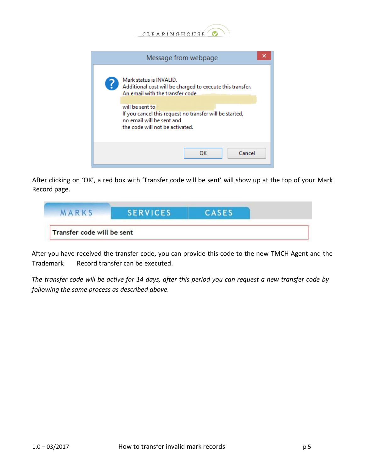

|   | Message from webpage                                                                                                                                                                                                                                                  |  |
|---|-----------------------------------------------------------------------------------------------------------------------------------------------------------------------------------------------------------------------------------------------------------------------|--|
| 3 | Mark status is INVALID.<br>Additional cost will be charged to execute this transfer.<br>An email with the transfer code<br>will be sent to<br>If you cancel this request no transfer will be started,<br>no email will be sent and<br>the code will not be activated. |  |
|   | Cancel<br>ок                                                                                                                                                                                                                                                          |  |

After clicking on 'OK', a red box with 'Transfer code will be sent' will show up at the top of your Mark Record page.

| MARKS                      | <b>SERVICES</b> | CASES |  |
|----------------------------|-----------------|-------|--|
| Transfer code will be sent |                 |       |  |

After you have received the transfer code, you can provide this code to the new TMCH Agent and the Trademark Record transfer can be executed.

*The transfer code will be active for 14 days, after this period you can request a new transfer code by following the same process as described above.*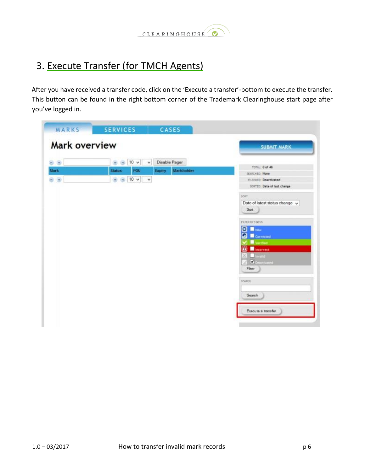

## <span id="page-5-0"></span>3. Execute Transfer (for TMCH Agents)

After you have received a transfer code, click on the 'Execute a transfer'-bottom to execute the transfer. This button can be found in the right bottom corner of the Trademark Clearinghouse start page after you've logged in.

| MARKS         | <b>SERVICES</b><br>CASES                                               |                                                              |
|---------------|------------------------------------------------------------------------|--------------------------------------------------------------|
| Mark overview |                                                                        | <b>SUBMIT MARK</b>                                           |
| 00            | Disable Pager<br><b>B B</b> 10 v<br>$\check{~}$                        |                                                              |
| Mark          | POU<br><b>Expiry</b><br><b>Status</b>                                  | TOTAL: 0 of 48<br>Markholder                                 |
| 00            | 10 <sub>v</sub><br>$\langle \alpha \rangle$<br>$\bigoplus$<br>$\omega$ | SEARCHED: None                                               |
|               |                                                                        | <b>FILTERED: Deactivated</b><br>science. Date of last change |
|               |                                                                        |                                                              |
|               |                                                                        | SOUT.                                                        |
|               |                                                                        | Date of latest status change v                               |
|               |                                                                        | Sort                                                         |
|               |                                                                        |                                                              |
|               |                                                                        | <b>FILTER BY STATUS</b>                                      |
|               |                                                                        | $\bullet$ $\blacksquare$                                     |
|               |                                                                        | Ω<br>Corrected                                               |
|               |                                                                        | Vermot                                                       |
|               |                                                                        | A<br>Incorrect                                               |
|               |                                                                        | <b>B</b> Invent                                              |
|               |                                                                        | Descrivated                                                  |
|               |                                                                        | Fiber:                                                       |
|               |                                                                        |                                                              |
|               |                                                                        | <b>SEARCH</b>                                                |
|               |                                                                        |                                                              |
|               |                                                                        | Search                                                       |
|               |                                                                        |                                                              |
|               |                                                                        | Execute a transfer                                           |
|               |                                                                        |                                                              |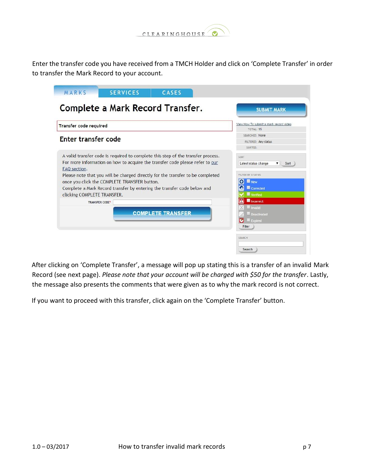

Enter the transfer code you have received from a TMCH Holder and click on 'Complete Transfer' in order to transfer the Mark Record to your account.



After clicking on 'Complete Transfer', a message will pop up stating this is a transfer of an invalid Mark Record (see next page). *Please note that your account will be charged with \$50 for the transfer*. Lastly, the message also presents the comments that were given as to why the mark record is not correct.

If you want to proceed with this transfer, click again on the 'Complete Transfer' button.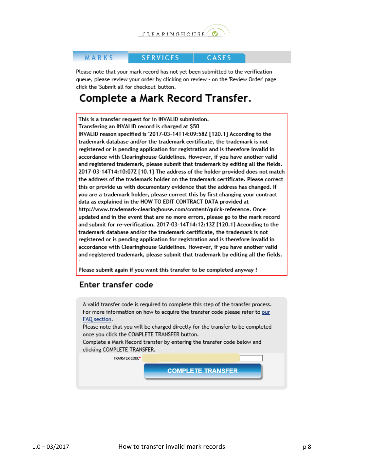

#### MARKS

**SERVICES** CASES

Please note that your mark record has not yet been submitted to the verification queue, please review your order by clicking on review - on the 'Review Order' page click the 'Submit all for checkout' button.

#### Complete a Mark Record Transfer.

This is a transfer request for in INVALID submission. Transfering an INVALID record is charged at \$50

INVALID reason specified is '2017-03-14T14:09:58Z [120.1] According to the trademark database and/or the trademark certificate, the trademark is not registered or is pending application for registration and is therefore invalid in accordance with Clearinghouse Guidelines. However, if you have another valid and registered trademark, please submit that trademark by editing all the fields. 2017-03-14T14:10:07Z [10.1] The address of the holder provided does not match the address of the trademark holder on the trademark certificate. Please correct this or provide us with documentary evidence that the address has changed. If you are a trademark holder, please correct this by first changing your contract data as explained in the HOW TO EDIT CONTRACT DATA provided at http://www.trademark-clearinghouse.com/content/quick-reference. Once updated and in the event that are no more errors, please go to the mark record and submit for re-verification. 2017-03-14T14:12:13Z [120.1] According to the trademark database and/or the trademark certificate, the trademark is not registered or is pending application for registration and is therefore invalid in accordance with Clearinghouse Guidelines. However, if you have another valid and registered trademark, please submit that trademark by editing all the fields.

Please submit again if you want this transfer to be completed anyway !

#### Enter transfer code

A valid transfer code is required to complete this step of the transfer process. For more information on how to acquire the transfer code please refer to our FAQ section.

Please note that you will be charged directly for the transfer to be completed once you click the COMPLETE TRANSFER button.

Complete a Mark Record transfer by entering the transfer code below and clicking COMPLETE TRANSFER.

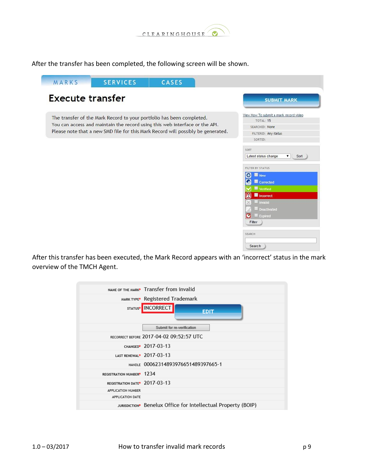

After the transfer has been completed, the following screen will be shown.

|  | The transfer of the Mark Record to your portfolio has been completed.            | View How To submit a mark record video<br>TOTAL: 15 |
|--|----------------------------------------------------------------------------------|-----------------------------------------------------|
|  | You can access and maintain the record using this web interface or the API.      | <b>SEARCHED: None</b>                               |
|  | Please note that a new SMD file for this Mark Record will possibly be generated. | FILTERED: Any status                                |
|  |                                                                                  | SORTED:                                             |
|  |                                                                                  | SORT                                                |
|  |                                                                                  | Latest status change<br>$\mathbf{v}$<br>Sort        |
|  |                                                                                  |                                                     |
|  |                                                                                  | FILTER BY STATUS                                    |
|  |                                                                                  | o<br>New                                            |
|  |                                                                                  | Corrected<br>О                                      |
|  |                                                                                  | <b>Verified</b><br>Incorrect                        |
|  |                                                                                  | Invalid                                             |
|  |                                                                                  | Deactivated                                         |
|  |                                                                                  | Expired<br>$\bullet$                                |
|  |                                                                                  | Filter                                              |

After this transfer has been executed, the Mark Record appears with an 'incorrect' status in the mark overview of the TMCH Agent.

|                                           | NAME OF THE MARK <sup>*</sup> Transfer from invalid           |
|-------------------------------------------|---------------------------------------------------------------|
|                                           | MARK TYPE <sup>*</sup> Registered Trademark                   |
|                                           | STATUS <sup>*</sup> INCORRECT<br><b>EDIT</b>                  |
|                                           | Submit for re-verification                                    |
|                                           | RECORRECT BEFORE 2017-04-02 09:52:57 UTC                      |
|                                           | CHANGED* 2017-03-13                                           |
|                                           | LAST RENEWAL <sup>*</sup> 2017-03-13                          |
|                                           | HANDLE 00062314893976651489397665-1                           |
| REGISTRATION NUMBER <sup>®</sup> 1234     |                                                               |
| REGISTRATION DATE <sup>*</sup> 2017-03-13 |                                                               |
| APPLICATION NUMBER                        |                                                               |
| <b>APPLICATION DATE</b>                   |                                                               |
|                                           | JURISDICTION* Benelux Office for Intellectual Property (BOIP) |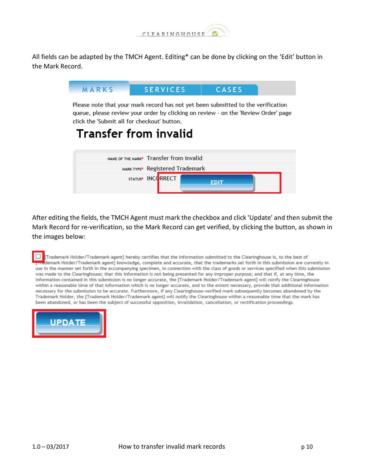

All fields can be adapted by the TMCH Agent. Editing\* can be done by clicking on the 'Edit' button in the Mark Record.



After editing the fields, the TMCH Agent must mark the checkbox and click 'Update' and then submit the Mark Record for re-verification, so the Mark Record can get verified, by clicking the button, as shown in the images below:

Trademark Holder/Trademark agent] hereby certifies that the information submitted to the Clearinghouse is, to the best of demark Holder/Trademark agent] knowledge, complete and accurate, that the trademarks set forth in this submission are currently in use in the manner set forth in the accompanying specimen, in connection with the class of goods or services specified when this submission was made to the Clearinghouse; that this information is not being presented for any improper purpose; and that if, at any time, the information contained in this submission is no longer accurate, the [Trademark Holder/Trademark agent] will notify the Clearinghouse within a reasonable time of that information which is no longer accurate, and to the extent necessary, provide that additional information necessary for the submission to be accurate. Furthermore, if any Clearinghouse-verified mark subsequently becomes abandoned by the Trademark Holder, the [Trademark Holder/Trademark agent] will notify the Clearinghouse within a reasonable time that the mark has been abandoned, or has been the subject of successful opposition, invalidation, cancellation, or rectification proceedings.